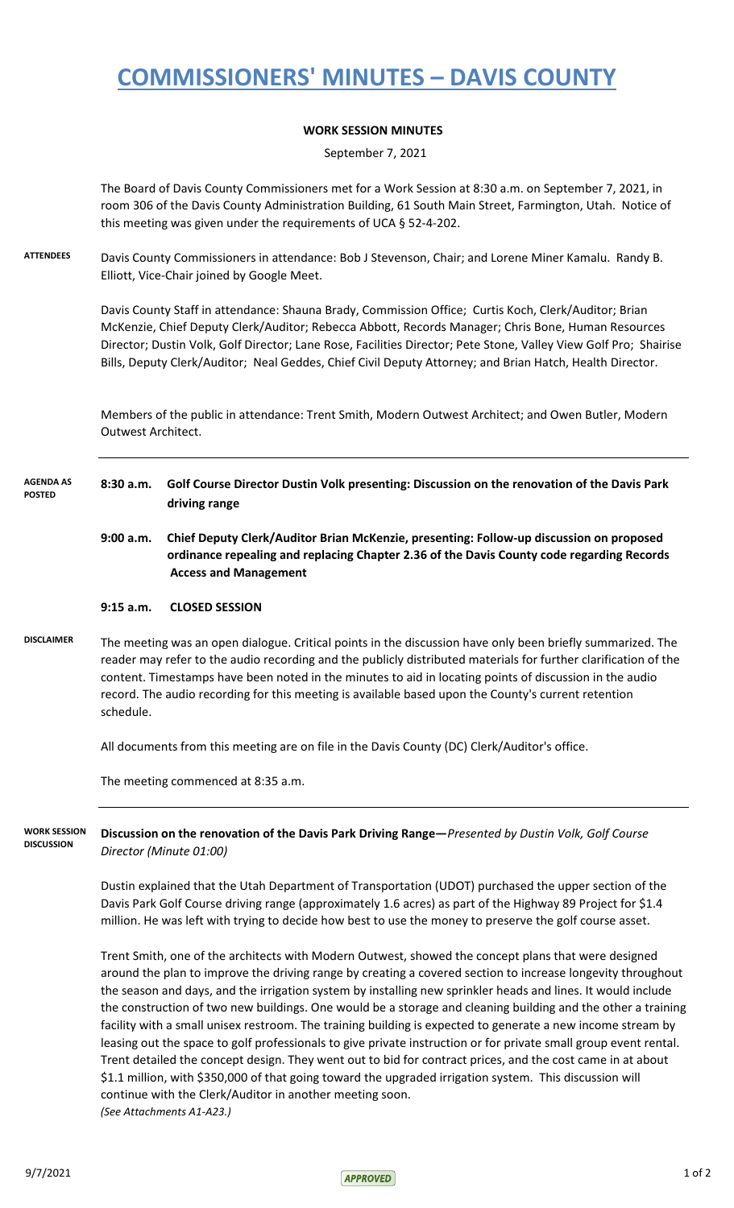# **COMMISSIONERS' MINUTES – DAVIS COUNTY**

### **WORK SESSION MINUTES**

September 7, 2021

The Board of Davis County Commissioners met for a Work Session at 8:30 a.m. on September 7, 2021, in room 306 of the Davis County Administration Building, 61 South Main Street, Farmington, Utah. Notice of this meeting was given under the requirements of UCA § 52-4-202.

**ATTENDEES** Davis County Commissioners in attendance: Bob J Stevenson, Chair; and Lorene Miner Kamalu. Randy B. Elliott, Vice-Chair joined by Google Meet.

> Davis County Staff in attendance: Shauna Brady, Commission Office; Curtis Koch, Clerk/Auditor; Brian McKenzie, Chief Deputy Clerk/Auditor; Rebecca Abbott, Records Manager; Chris Bone, Human Resources Director; Dustin Volk, Golf Director; Lane Rose, Facilities Director; Pete Stone, Valley View Golf Pro; Shairise Bills, Deputy Clerk/Auditor; Neal Geddes, Chief Civil Deputy Attorney; and Brian Hatch, Health Director.

Members of the public in attendance: Trent Smith, Modern Outwest Architect; and Owen Butler, Modern Outwest Architect.

- **8:30 a.m. Golf Course Director Dustin Volk presenting: Discussion on the renovation of the Davis Park driving range AGENDA AS POSTED**
	- **9:00 a.m. Chief Deputy Clerk/Auditor Brian McKenzie, presenting: Follow-up discussion on proposed ordinance repealing and replacing Chapter 2.36 of the Davis County code regarding Records Access and Management**

### **9:15 a.m. CLOSED SESSION**

**DISCLAIMER** The meeting was an open dialogue. Critical points in the discussion have only been briefly summarized. The reader may refer to the audio recording and the publicly distributed materials for further clarification of the content. Timestamps have been noted in the minutes to aid in locating points of discussion in the audio record. The audio recording for this meeting is available based upon the County's current retention schedule.

All documents from this meeting are on file in the Davis County (DC) Clerk/Auditor's office.

The meeting commenced at 8:35 a.m.

**Discussion on the renovation of the Davis Park Driving Range—***Presented by Dustin Volk, Golf Course Director (Minute 01:00)* **WORK SESSION DISCUSSION**

> Dustin explained that the Utah Department of Transportation (UDOT) purchased the upper section of the Davis Park Golf Course driving range (approximately 1.6 acres) as part of the Highway 89 Project for \$1.4 million. He was left with trying to decide how best to use the money to preserve the golf course asset.

Trent Smith, one of the architects with Modern Outwest, showed the concept plans that were designed around the plan to improve the driving range by creating a covered section to increase longevity throughout the season and days, and the irrigation system by installing new sprinkler heads and lines. It would include the construction of two new buildings. One would be a storage and cleaning building and the other a training facility with a small unisex restroom. The training building is expected to generate a new income stream by leasing out the space to golf professionals to give private instruction or for private small group event rental. Trent detailed the concept design. They went out to bid for contract prices, and the cost came in at about \$1.1 million, with \$350,000 of that going toward the upgraded irrigation system. This discussion will continue with the Clerk/Auditor in another meeting soon. *(See Attachments A1-A23.)*